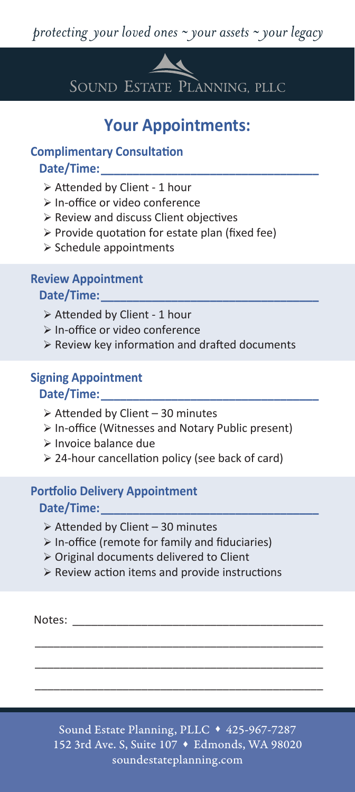

SOUND ESTATE PLANNING, PLLC

# **Your Appointments:**

### **Complimentary Consultation** Date/Time:

- $\triangleright$  Attended by Client 1 hour
- > In-office or video conference
- $\triangleright$  Review and discuss Client objectives
- $\triangleright$  Provide quotation for estate plan (fixed fee)
- $\triangleright$  Schedule appointments

# **Review Appointment**

## **Date/Time:\_\_\_\_\_\_\_\_\_\_\_\_\_\_\_\_\_\_\_\_\_\_\_\_\_\_\_\_\_\_\_\_\_\_**

- $\triangleright$  Attended by Client 1 hour
- > In-office or video conference
- $\triangleright$  Review key information and drafted documents

# **Signing Appointment**

#### Date/Time:

- $\triangleright$  Attended by Client 30 minutes
- In-office (Witnesses and Notary Public present)
- > Invoice balance due
- $\geq 24$ -hour cancellation policy (see back of card)

## **Portfolio Delivery Appointment** Date/Time:

- $\geq$  Attended by Client 30 minutes
- $\triangleright$  In-office (remote for family and fiduciaries)
- Original documents delivered to Client
- $\triangleright$  Review action items and provide instructions

Notes:

Sound Estate Planning, PLLC ♦ 425-967-7287 152 3rd Ave. S, Suite 107 ♦ Edmonds, WA 98020 soundestateplanning.com

\_\_\_\_\_\_\_\_\_\_\_\_\_\_\_\_\_\_\_\_\_\_\_\_\_\_\_\_\_\_\_\_\_\_\_\_\_\_\_\_\_\_\_\_\_\_ \_\_\_\_\_\_\_\_\_\_\_\_\_\_\_\_\_\_\_\_\_\_\_\_\_\_\_\_\_\_\_\_\_\_\_\_\_\_\_\_\_\_\_\_\_\_ \_\_\_\_\_\_\_\_\_\_\_\_\_\_\_\_\_\_\_\_\_\_\_\_\_\_\_\_\_\_\_\_\_\_\_\_\_\_\_\_\_\_\_\_\_\_